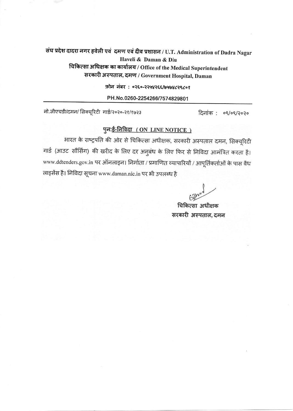संघ प्रदेश दादरा नगर हवेली एवं दमण एवं दीव प्रशासन / U.T. Administration of Dadra Nagar Haveli & Daman & Diu

चिकित्सा अधिक्षक का कार्यालय / Office of the Medical Superintendent सरकारी अस्पताल, दमण / Government Hospital, Daman

फ़ोन नंबर: ०२६०-२२५४२६६/७५७४८२९८०१

PH.No.0260-2254266/7574829801

नो.जीएचडी/दमन/ सिक्यूरिटी गार्ड/२०२०-२१/१७२३

दिनांक : ०९/०९/२०२०

## पुनः<u>ई-निविदा (ON LINE NOTICE)</u>

भारत के राष्ट्रपति की ओर से चिकित्सा अधीक्षक, सरकारी अस्पताल दमन, सिक्यूरिटी गार्ड (आउट सौर्सिंग) की खरीद के लिए दर अनुबंध के लिए फिर से निविदा आमंत्रित करता है। www.ddtenders.gov.in पर ऑनलाइन। निर्माता / प्रमाणित व्यापारियों / आपूर्तिकर्ताओं के पास वैध लाइसेंस है। निविदा सूचना www.daman.nic.in पर भी उपलब्ध है

चिकित्सा अधीक्षक सरकारी अस्पताल, दमन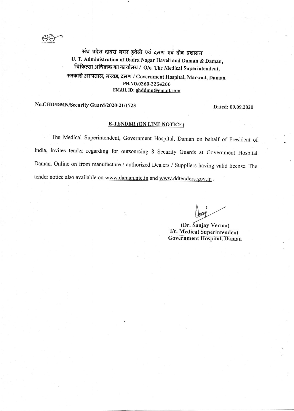$\bigotimes_{\mathfrak{m}}$ 

संघ प्रदेश दादरा नगर हवेली एवं दमण एवं दीव प्रशासन U. T. Administration of Dadra Nagar Haveli and Daman & Daman, चिकित्सा अधिक्षक का कार्यालय / O/o. The Medical Superintendent, सरकारी अस्पताल, मरवड, दमण / Government Hospital, Marwad, Daman. PH.NO.0260\_2254266 EMAIL ID: ghddmn@gmail.com

## No.GHD/DMN/Security Guard/2020-21/1723 Dated: 09.09.2020

## **E-TENDER (ON LINE NOTICE)**

The Medical Superintendent, Government Hospital, Daman on behatf of president of India, invites tender regarding for outsourcing 8 Security Guards at Government Hospital Daman. Online on from manufacture / authorized Dealers / Supptiers having valid license. The tender notice also available on www.daman.nic.in and www.ddtenders.gov.in.

I

(Dr. Sanjay Verma) I/c. Medical Superintendent Government Hospital, Daman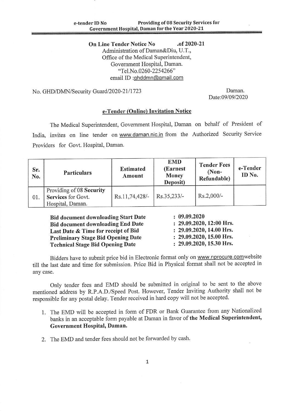On Line Tender Notice No .of 2020-21 Administration of Daman&Diu, U.T., Office of the Medical Superintendent, Govemment Hospital, Daman. "Tel.No.0260-2254266" email ID :ghddmn@gmail.com

No. GHD/DMN/Security Guard/2020-21/1723 Daman.

Date:09/09/2020

## e-Tender (Online) Invitation Notice

The Medical Superintendent, Government Hospital, Daman on behalf of President of India, invites on line tender on www.daman.nic.in from the Authorized Security Service Providers for Govt. Hospital, Daman.

| Sr.<br>No. | <b>Particulars</b>                                                 | <b>Estimated</b><br>Amount | <b>EMD</b><br>(Earnest<br><b>Money</b><br>Deposit) | <b>Tender Fees</b><br>$(Non-$<br>Refundable) | e-Tender<br>ID No. |
|------------|--------------------------------------------------------------------|----------------------------|----------------------------------------------------|----------------------------------------------|--------------------|
| 01.        | Providing of 08 Security<br>Services for Govt.<br>Hospital, Daman. | Rs.11,74,428/-             | Rs.35,233/-                                        | Rs.2,000/-                                   |                    |

Bid document downloading Start Date Bid document downloading End Date Last Date & Time for receipt of Bid Preliminary Stage Bid Opening Date Technical Stage Bid Opening Date

 $: 09.09.2020$ : 29.09.2020, 12:00 Hrs. 29.09.2020,14.00 Hrs. 29.09.2020,15.00 Hrs. 29.09.2020,15.30 Hrs.

Bidders have to submit price bid in Electronic format only on www.nprocure.comwebsite till the last date and time for submission. Price Bid in Physical format shall not be accapted in any case.

only tender fees and EMD should be submitted in original to be sent to the above mentioned address by R.P.A.D./Speed Post. However, Tender Inviting Authority shall not be responsible for any postal delay. Tender received in hard copy will not be accepted.

- l. The EMD will be accepted in form of FDR or Bank Guarantee from any Nationalized banks in an acceptable form payable at Daman in favor of the Medical Superintendent, Government Hospital, Daman.
- 2. The EMD and tender fees should not be forwarded by cash.